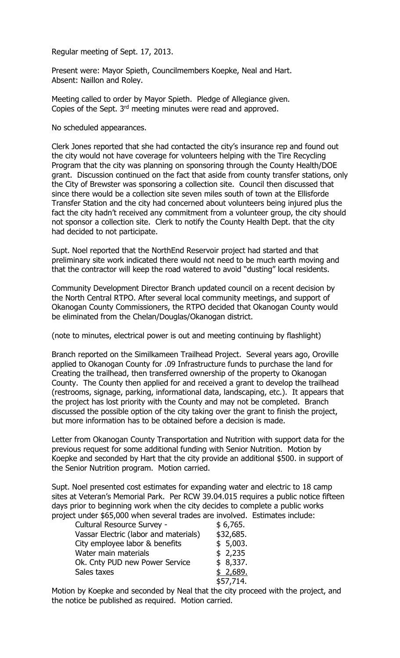Regular meeting of Sept. 17, 2013.

Present were: Mayor Spieth, Councilmembers Koepke, Neal and Hart. Absent: Naillon and Roley.

Meeting called to order by Mayor Spieth. Pledge of Allegiance given. Copies of the Sept. 3rd meeting minutes were read and approved.

No scheduled appearances.

Clerk Jones reported that she had contacted the city's insurance rep and found out the city would not have coverage for volunteers helping with the Tire Recycling Program that the city was planning on sponsoring through the County Health/DOE grant. Discussion continued on the fact that aside from county transfer stations, only the City of Brewster was sponsoring a collection site. Council then discussed that since there would be a collection site seven miles south of town at the Ellisforde Transfer Station and the city had concerned about volunteers being injured plus the fact the city hadn't received any commitment from a volunteer group, the city should not sponsor a collection site. Clerk to notify the County Health Dept. that the city had decided to not participate.

Supt. Noel reported that the NorthEnd Reservoir project had started and that preliminary site work indicated there would not need to be much earth moving and that the contractor will keep the road watered to avoid "dusting" local residents.

Community Development Director Branch updated council on a recent decision by the North Central RTPO. After several local community meetings, and support of Okanogan County Commissioners, the RTPO decided that Okanogan County would be eliminated from the Chelan/Douglas/Okanogan district.

(note to minutes, electrical power is out and meeting continuing by flashlight)

Branch reported on the Similkameen Trailhead Project. Several years ago, Oroville applied to Okanogan County for .09 Infrastructure funds to purchase the land for Creating the trailhead, then transferred ownership of the property to Okanogan County. The County then applied for and received a grant to develop the trailhead (restrooms, signage, parking, informational data, landscaping, etc.). It appears that the project has lost priority with the County and may not be completed. Branch discussed the possible option of the city taking over the grant to finish the project, but more information has to be obtained before a decision is made.

Letter from Okanogan County Transportation and Nutrition with support data for the previous request for some additional funding with Senior Nutrition. Motion by Koepke and seconded by Hart that the city provide an additional \$500. in support of the Senior Nutrition program. Motion carried.

Supt. Noel presented cost estimates for expanding water and electric to 18 camp sites at Veteran's Memorial Park. Per RCW 39.04.015 requires a public notice fifteen days prior to beginning work when the city decides to complete a public works project under \$65,000 when several trades are involved. Estimates include:

| Cultural Resource Survey -            | \$6,765.  |
|---------------------------------------|-----------|
| Vassar Electric (labor and materials) | \$32,685. |
| City employee labor & benefits        | \$5,003.  |
| Water main materials                  | \$2,235   |
| Ok. Cnty PUD new Power Service        | \$8,337.  |
| Sales taxes                           | \$2,689.  |
|                                       | \$57,714. |

Motion by Koepke and seconded by Neal that the city proceed with the project, and the notice be published as required. Motion carried.